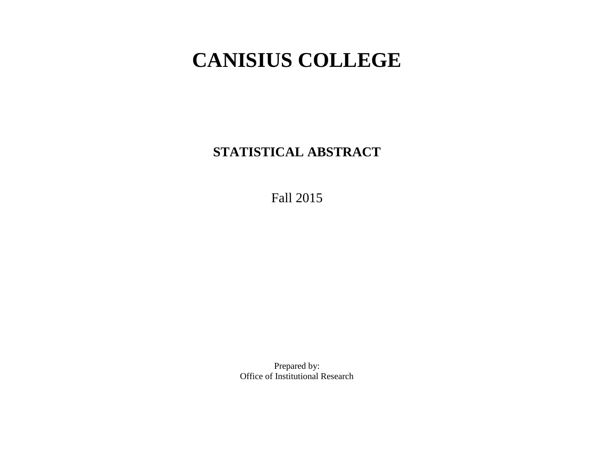# **CANISIUS COLLEGE**

**STATISTICAL ABSTRACT**

Fall 2015

Prepared by: Office of Institutional Research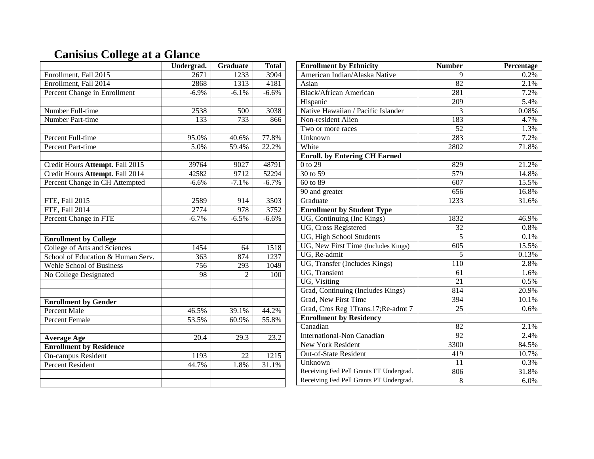# **Canisius College at a Glance**

|                                   | Undergrad. | <b>Graduate</b> | <b>Total</b> |
|-----------------------------------|------------|-----------------|--------------|
| Enrollment, Fall 2015             | 2671       | 1233            | 3904         |
| Enrollment, Fall 2014             | 2868       | 1313            | 4181         |
| Percent Change in Enrollment      | $-6.9%$    | $-6.1%$         | $-6.6%$      |
|                                   |            |                 |              |
| Number Full-time                  | 2538       | 500             | 3038         |
| Number Part-time                  | 133        | 733             | 866          |
|                                   |            |                 |              |
| Percent Full-time                 | 95.0%      | 40.6%           | 77.8%        |
| <b>Percent Part-time</b>          | 5.0%       | 59.4%           | 22.2%        |
|                                   |            |                 |              |
| Credit Hours Attempt. Fall 2015   | 39764      | 9027            | 48791        |
| Credit Hours Attempt. Fall 2014   | 42582      | 9712            | 52294        |
| Percent Change in CH Attempted    | $-6.6%$    | $-7.1%$         | $-6.7%$      |
|                                   |            |                 |              |
| FTE, Fall 2015                    | 2589       | 914             | 3503         |
| FTE, Fall 2014                    | 2774       | 978             | 3752         |
| Percent Change in FTE             | $-6.7%$    | $-6.5%$         | $-6.6%$      |
|                                   |            |                 |              |
| <b>Enrollment by College</b>      |            |                 |              |
| College of Arts and Sciences      | 1454       | 64              | 1518         |
| School of Education & Human Serv. | 363        | 874             | 1237         |
| Wehle School of Business          | 756        | 293             | 1049         |
| No College Designated             | 98         | $\mathfrak{D}$  | 100          |
|                                   |            |                 |              |
|                                   |            |                 |              |
| <b>Enrollment by Gender</b>       |            |                 |              |
| <b>Percent Male</b>               | 46.5%      | 39.1%           | 44.2%        |
| <b>Percent Female</b>             | 53.5%      | 60.9%           | 55.8%        |
|                                   |            |                 |              |
| <b>Average Age</b>                | 20.4       | 29.3            | 23.2         |
| <b>Enrollment by Residence</b>    |            |                 |              |
| On-campus Resident                | 1193       | 22              | 1215         |
| <b>Percent Resident</b>           | 44.7%      | 1.8%            | 31.1%        |
|                                   |            |                 |              |
|                                   |            |                 |              |

| <b>Enrollment by Ethnicity</b>          | <b>Number</b> | Percentage |
|-----------------------------------------|---------------|------------|
| American Indian/Alaska Native           |               | 0.2%       |
| Asian                                   | 82            | 2.1%       |
| <b>Black/African American</b>           | 281           | 7.2%       |
| Hispanic                                | 209           | 5.4%       |
| Native Hawaiian / Pacific Islander      | 3             | 0.08%      |
| Non-resident Alien                      | 183           | 4.7%       |
| Two or more races                       | 52            | 1.3%       |
| Unknown                                 | 283           | 7.2%       |
| White                                   | 2802          | 71.8%      |
| <b>Enroll. by Entering CH Earned</b>    |               |            |
| 0 to 29                                 | 829           | 21.2%      |
| 30 to 59                                | 579           | 14.8%      |
| 60 to 89                                | 607           | 15.5%      |
| 90 and greater                          | 656           | 16.8%      |
| Graduate                                | 1233          | 31.6%      |
| <b>Enrollment by Student Type</b>       |               |            |
| UG, Continuing (Inc Kings)              | 1832          | 46.9%      |
| <b>UG, Cross Registered</b>             | 32            | 0.8%       |
| UG, High School Students                | 5             | 0.1%       |
| UG, New First Time (Includes Kings)     | 605           | 15.5%      |
| UG, Re-admit                            | 5             | 0.13%      |
| UG, Transfer (Includes Kings)           | 110           | 2.8%       |
| <b>UG</b> , Transient                   | 61            | 1.6%       |
| UG, Visiting                            | 21            | 0.5%       |
| Grad, Continuing (Includes Kings)       | 814           | 20.9%      |
| Grad, New First Time                    | 394           | 10.1%      |
| Grad, Cros Reg 1Trans.17; Re-admt 7     | 25            | 0.6%       |
| <b>Enrollment by Residency</b>          |               |            |
| Canadian                                | 82            | 2.1%       |
| <b>International-Non Canadian</b>       | 92            | 2.4%       |
| <b>New York Resident</b>                | 3300          | 84.5%      |
| Out-of-State Resident                   | 419           | 10.7%      |
| Unknown                                 | 11            | 0.3%       |
| Receiving Fed Pell Grants FT Undergrad. | 806           | 31.8%      |
| Receiving Fed Pell Grants PT Undergrad. | 8             | 6.0%       |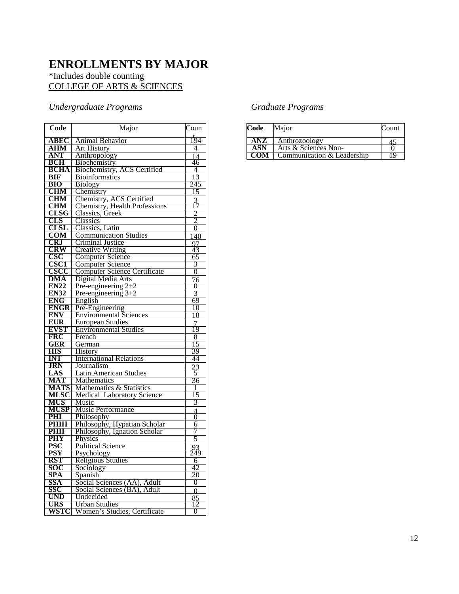### **ENROLLMENTS BY MAJOR**

#### \*Includes double counting COLLEGE OF ARTS & SCIENCES

### *Undergraduate Programs*

| Code                            | Major                                 | Coun            |
|---------------------------------|---------------------------------------|-----------------|
| <b>ABEC</b>                     | Animal Behavior                       | $\frac{1}{194}$ |
| <b>AHM</b>                      | <b>Art History</b>                    | 4               |
| <b>ANT</b>                      | Anthropology                          | 14              |
| <b>BCH</b>                      | Biochemistry                          | 46              |
| <b>BCHA</b>                     | <b>Biochemistry, ACS Certified</b>    | 4               |
| <b>BIF</b>                      | <b>Bioinformatics</b>                 | 13              |
| <b>BIO</b>                      | <b>Biology</b>                        | 245             |
| <b>CHM</b>                      | Chemistry                             | 15              |
| <b>CHM</b>                      | Chemistry, ACS Certified              | $\frac{3}{17}$  |
| CHM                             | Chemistry, Health Professions         |                 |
| CLSG                            | Classics, Greek                       | $\frac{2}{2}$   |
| CLS                             | Classics                              |                 |
| CLSL                            | Classics, Latin                       |                 |
| <b>COM</b>                      | <b>Communication Studies</b>          | 140             |
| CRJ                             | Criminal Justice                      | $\frac{97}{43}$ |
| <b>CRW</b>                      | <b>Creative Writing</b>               |                 |
| <u>CSC</u>                      | <b>Computer Science</b>               | 65              |
| <b>CSC1</b>                     | <b>Computer Science</b>               | 3               |
| CSCC                            | <b>Computer Science Certificate</b>   | $\overline{0}$  |
| <b>DMA</b>                      | Digital Media Arts                    | 76              |
| <b>EN22</b>                     | Pre-engineering $2+2$                 | $\overline{0}$  |
| <b>EN32</b>                     | Pre-engineering $3+2$                 | 3               |
| <b>ENG</b>                      | English                               | 69              |
| <b>ENGR</b>                     | Pre-Engineering                       | 10              |
| <b>ENV</b>                      | <b>Environmental Sciences</b>         | 18              |
| <b>EUR</b>                      | <b>European Studies</b>               | $\overline{7}$  |
| <b>EVST</b>                     | <b>Environmental Studies</b>          | 19              |
| <b>FRC</b>                      | French                                | 8               |
| GER                             | German                                | 15              |
| <b>HIS</b>                      | History                               | 39<br>44        |
| <b>INT</b><br><b>JRN</b>        | <b>International Relations</b>        |                 |
|                                 | Journalism                            | $\frac{23}{5}$  |
| LAS<br><b>MAT</b>               | Latin American Studies<br>Mathematics | 36              |
| <b>MATS</b>                     | Mathematics & Statistics              | 1               |
| <b>MLSC</b>                     | <b>Medical Laboratory Science</b>     | 15              |
| <b>MUS</b>                      | Music                                 | 3               |
| <b>MUSP</b>                     | Music Performance                     |                 |
| PHI                             | Philosophy                            | $\frac{4}{0}$   |
| PHIH                            | Philosophy, Hypatian Scholar          | 6               |
| PHII                            | Philosophy, Ignation Scholar          | 7               |
| PHY                             | Physics                               | 5               |
| <b>PSC</b>                      | <b>Political Science</b>              | 93              |
| $\overline{\operatorname{PSY}}$ | Psychology                            | 249             |
| RST                             | Religious Studies                     | 6               |
| SOC                             | Sociology                             | 42              |
| <b>SPA</b>                      | Spanish                               | 20              |
| SSA                             | Social Sciences (AA), Adult           | 0               |
| SSC                             | Social Sciences (BA), Adult           | 0               |
| <b>UND</b>                      | Undecided                             | 85              |
| <b>URS</b>                      | <b>Urban Studies</b>                  | 12              |
| WSTC                            | Women's Studies, Certificate          | 0               |

### *Graduate Programs*

| Code | Major                      | Count |
|------|----------------------------|-------|
| ANZ. | Anthrozoology              |       |
| ASN  | Arts & Sciences Non-       |       |
|      | Communication & Leadership |       |
|      |                            |       |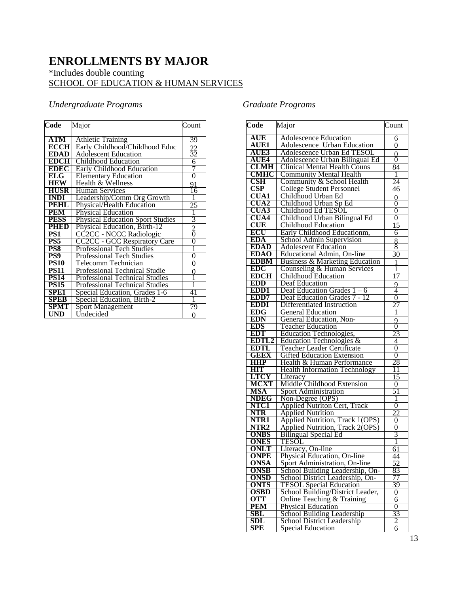### **ENROLLMENTS BY MAJOR**  \*Includes double counting SCHOOL OF EDUCATION & HUMAN SERVICES

### *Undergraduate Programs*

| Code             | Major                                   | Count           |
|------------------|-----------------------------------------|-----------------|
|                  |                                         |                 |
| ATM              | <b>Athletic Training</b>                | 39              |
| <b>ECCH</b>      | Early Childhood/Childhood Educ          |                 |
| <b>EDAD</b>      | <b>Adolescent Education</b>             | $\frac{22}{32}$ |
| <b>EDCH</b>      | Childhood Education                     | $\overline{6}$  |
| <b>EDEC</b>      | <b>Early Childhood Education</b>        |                 |
| ELG              | <b>Elementary Education</b>             | $\overline{0}$  |
| <b>HEW</b>       | Health & Wellness                       | 91              |
| <b>HUSR</b>      | <b>Human Services</b>                   | 16              |
| <b>INDI</b>      | Leadership/Comm Org Growth              | 1               |
| <b>PEHL</b>      | Physical/Health Education               | 25              |
| <b>PEM</b>       | <b>Physical Education</b>               |                 |
| <b>PESS</b>      | <b>Physical Education Sport Studies</b> | 3               |
| <b>PHED</b>      | Physical Education, Birth-12            | $\frac{2}{0}$   |
| PSI <sup>-</sup> | CC2CC - NCCC Radiologic                 |                 |
| PS5              | <b>CC2CC - GCC Respiratory Care</b>     | $\overline{0}$  |
| PS8              | <b>Professional Tech Studies</b>        |                 |
| PS9              | <b>Professional Tech Studies</b>        | $\overline{0}$  |
| <b>PS10</b>      | <b>Telecomm Technician</b>              | 0               |
| <b>PS11</b>      | <b>Professional Technical Studie</b>    | 0               |
| <b>PS14</b>      | <b>Professional Technical Studies</b>   | 1               |
| <b>PS15</b>      | <b>Professional Technical Studies</b>   |                 |
| <b>SPE1</b>      | Special Education, Grades 1-6           | 41              |
| <b>SPEB</b>      | Special Education, Birth-2              | 1               |
| SPMT             | <b>Sport Management</b>                 | 79              |
| UND              | Undecided                               | ∩               |

### *Graduate Programs*

| Code                    | Major                                                                 | Count               |
|-------------------------|-----------------------------------------------------------------------|---------------------|
| AUE                     | <b>Adolescence Education</b>                                          | 6                   |
| <b>AUE1</b>             | <b>Adolescence Urban Education</b>                                    | 0                   |
| AUE3                    | Adolescence Urban Ed TESOL                                            | 0                   |
| <b>AUE4</b>             | <b>Adolescence Urban Bilingual Ed</b>                                 | 0                   |
| <b>CLMH</b>             | <b>Clinical Mental Health Couns</b>                                   | 84                  |
| CMHC                    | <b>Community Mental Health</b>                                        | 1                   |
| $\overline{\text{CSH}}$ | Community & School Health                                             | 24                  |
| <b>CSP</b>              | <b>College Student Personnel</b>                                      | 46                  |
| <b>CUA1</b>             | Childhood Urban Ed                                                    | $\overline{0}$      |
| <b>CUA2</b>             | Childhood Urban Sp Ed                                                 | 0                   |
| <b>CUA3</b>             | Childhood Ed TESOL                                                    | 0                   |
| <b>CUA4</b>             | Childhood Urban Bilingual Ed                                          | $\overline{0}$      |
| <b>CUE</b>              | Childhood Education                                                   | 15                  |
| ECU                     | Early Childhood Educationm,                                           | 6                   |
| <b>EDA</b>              | School Admin Supervision                                              | 8                   |
| <b>EDAD</b>             | <b>Adolescent Education</b>                                           | 8                   |
| <b>EDAO</b>             | Educational Admin, On-line                                            | 30                  |
| <b>EDBM</b><br>EDC      | Business & Marketing Education                                        | 1                   |
| <b>EDCH</b>             | Counseling & Human Services<br><b>Childhood Education</b>             | 1                   |
| <b>EDD</b>              |                                                                       | $\overline{17}$     |
| EDD <sub>1</sub>        | Deaf Education<br>Deaf Education Grades $1 - 6$                       | 9<br>4              |
| EDD7                    | Deaf Education Grades 7 - 12                                          | $\overline{0}$      |
| <b>EDDI</b>             | Differentiated Instruction                                            | 27                  |
| <b>EDG</b>              | <b>General Education</b>                                              | 1                   |
| <b>EDN</b>              | General Education, Non-                                               | 9                   |
| <b>EDS</b>              | <b>Teacher Education</b>                                              | 0                   |
| <b>EDT</b>              | <b>Education Technologies,</b>                                        | 23                  |
| EDTL2                   | Education Technologies &                                              | 4                   |
| <b>EDTL</b>             | Teacher Leader Certificate                                            | $\overline{0}$      |
| <b>GEEX</b>             | <b>Gifted Education Extension</b>                                     | $\overline{0}$      |
| <b>HHP</b>              | Health & Human Performance                                            | 28                  |
| HІТ                     | <b>Health Information Technology</b>                                  | 11                  |
| LTCY                    | Literacy                                                              | 15                  |
| <b>MCXT</b>             | Middle Childhood Extension                                            | 0                   |
| <b>MSA</b>              | <b>Sport Administration</b>                                           | 51                  |
| <b>NDEG</b>             | Non-Degree (OPS)                                                      | 1                   |
| NTC1                    | <b>Applied Nutriton Cert, Track</b>                                   | $\overline{0}$      |
| <b>NTR</b><br>NTR1      | <b>Applied Nutrition</b>                                              | 22                  |
| NTR <sub>2</sub>        | <b>Applied Nutrition, Track 1(OPS)</b>                                | 0<br>$\overline{0}$ |
| <b>ONBS</b>             | <b>Applied Nutrition, Track 2(OPS)</b><br><b>Bilingual Special Ed</b> | 3                   |
| <b>ONES</b>             | <b>TESOL</b>                                                          | 1                   |
| <b>ONLT</b>             | Literacy, On-line                                                     | 61                  |
| <b>ONPE</b>             | Physical Education, On-line                                           | 44                  |
| <b>ONSA</b>             | Sport Administration, On-line                                         | 52                  |
| <b>ONSB</b>             | School Building Leadership, On-                                       | 83                  |
| <b>ONSD</b>             | School District Leadership, On-                                       | 77                  |
| ONTS                    | <b>TESOL Special Education</b>                                        | 39                  |
| <b>OSBD</b>             | School Building/District Leader,                                      | 0                   |
| <b>OTT</b>              | Online Teaching & Training                                            | 6                   |
| PEM                     | <b>Physical Education</b>                                             | 0                   |
| SBL                     | School Building Leadership                                            | 33                  |
| SDL                     | School District Leadership                                            | 2                   |
| SPE                     | <b>Special Education</b>                                              | 6                   |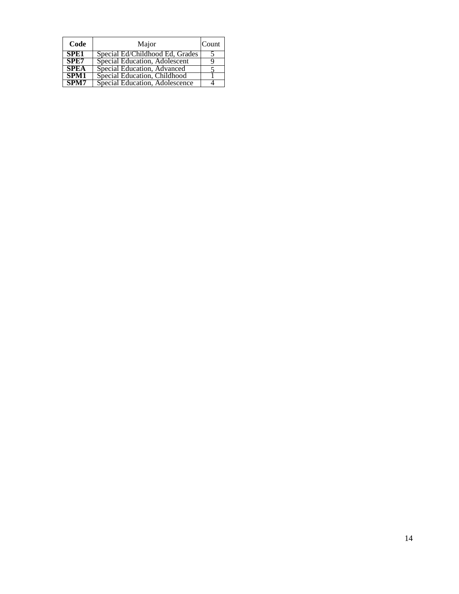| Code        | Major                           | Count |
|-------------|---------------------------------|-------|
| SPE1        | Special Ed/Childhood Ed, Grades |       |
| SPE7        | Special Education, Adolescent   |       |
| <b>SPEA</b> | Special Education, Advanced     |       |
| SPM1        | Special Education, Childhood    |       |
| SPM7        | Special Education, Adolescence  |       |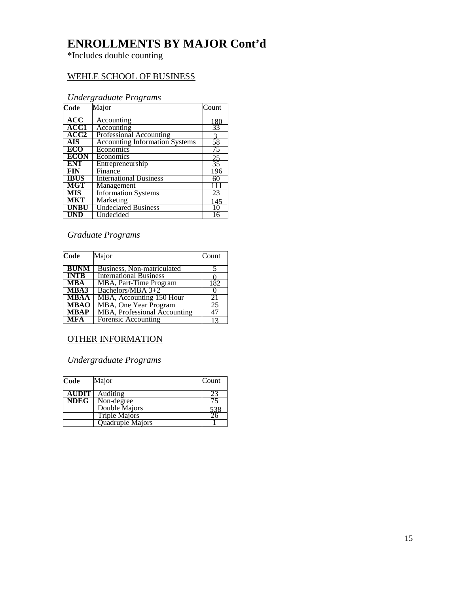### **ENROLLMENTS BY MAJOR Cont'd**

\*Includes double counting

### WEHLE SCHOOL OF BUSINESS

### *Undergraduate Programs*

| Code        | Major                                 | Count           |
|-------------|---------------------------------------|-----------------|
| ACC         | Accounting                            | 180             |
| <b>ACC1</b> | Accounting                            | $\overline{33}$ |
| ACC2        | <b>Professional Accounting</b>        |                 |
| <b>AIS</b>  | <b>Accounting Information Systems</b> | $\frac{3}{58}$  |
| ECO         | Economics                             | 75              |
| <b>ECON</b> | Economics                             |                 |
| ENT         | Entrepreneurship                      | $\frac{25}{35}$ |
| <b>FIN</b>  | Finance                               | 196             |
| <b>IBUS</b> | <b>International Business</b>         | 60              |
| MGT         | Management                            |                 |
| <b>MIS</b>  | <b>Information Systems</b>            | 23              |
| <b>MKT</b>  | Marketing                             | 145             |
| <b>UNBU</b> | <b>Undeclared Business</b>            | 10              |
| UND         | Undecided                             | 16              |

#### *Graduate Programs*

| Code        | Major                         | Count |
|-------------|-------------------------------|-------|
| <b>BUNM</b> | Business, Non-matriculated    |       |
| <b>INTB</b> | <b>International Business</b> |       |
| <b>MBA</b>  | MBA, Part-Time Program        | 182   |
| MBA3        | Bachelors/MBA 3+2             |       |
| <b>MBAA</b> | MBA, Accounting 150 Hour      | 21    |
| <b>MBAO</b> | MBA, One Year Program         | 25    |
| <b>MBAP</b> | MBA, Professional Accounting  |       |
| MFA         | Forensic Accounting           |       |

### OTHER INFORMATION

### *Undergraduate Programs*

| Code         | Major                | Count |
|--------------|----------------------|-------|
| <b>AUDIT</b> | Auditing             |       |
| <b>NDEG</b>  | Non-degree           |       |
|              | Double Majors        | 538   |
|              | <b>Triple Majors</b> | 26    |
|              | Quadruple Majors     |       |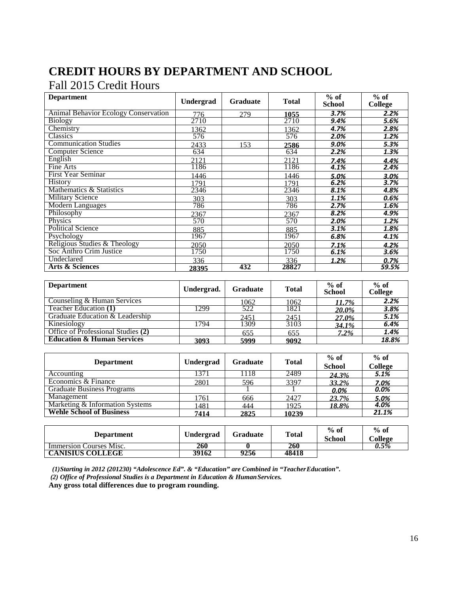## **CREDIT HOURS BY DEPARTMENT AND SCHOOL**

### Fall 2015 Credit Hours

| <b>Department</b>                           | <b>Undergrad</b> | Graduate | <b>Total</b> | $%$ of<br><b>School</b> | $%$ of<br>College |
|---------------------------------------------|------------------|----------|--------------|-------------------------|-------------------|
| <b>Animal Behavior Ecology Conservation</b> | 776              | 279      | 1055         | 3.7%                    | 2.2%              |
| <b>Biology</b>                              | 2710             |          | 2710         | 9.4%                    | 5.6%              |
| Chemistry                                   | 1362             |          | 1362         | 4.7%                    | 2.8%              |
| Classics                                    | 576              |          | 576          | 2.0%                    | 1.2%              |
| <b>Communication Studies</b>                | 2433             | 153      | 2586         | 9.0%                    | 5.3%              |
| <b>Computer Science</b>                     | 634              |          | 634          | 2.2%                    | 1.3%              |
| English                                     | 2121             |          | 2121         | 7.4%                    | 4.4%              |
| Fine Arts                                   | 1186             |          | 1186         | 4.1%                    | 2.4%              |
| <b>First Year Seminar</b>                   | 1446             |          | 1446         | 5.0%                    | 3.0%              |
| <b>History</b>                              | 1791             |          | 1791         | 6.2%                    | 3.7%              |
| Mathematics & Statistics                    | 2346             |          | 2346         | 8.1%                    | 4.8%              |
| <b>Military Science</b>                     | 303              |          | 303          | 1.1%                    | 0.6%              |
| Modern Languages                            | 786              |          | 786          | 2.7%                    | 1.6%              |
| Philosophy                                  | 2367             |          | 2367         | 8.2%                    | 4.9%              |
| Physics                                     | 570              |          | 570          | 2.0%                    | 1.2%              |
| Political Science                           | 885              |          | 885          | 3.1%                    | 1.8%              |
| Psychology                                  | 1967             |          | 1967         | 6.8%                    | 4.1%              |
| Religious Studies & Theology                | 2050             |          | 2050         | 7.1%                    | 4.2%              |
| Soc Anthro Crim Justice                     | 1750             |          | 1750         | 6.1%                    | 3.6%              |
| Undeclared                                  | 336              |          | 336          | 1.2%                    | 0.7%              |
| <b>Arts &amp; Sciences</b>                  | <u>28395</u>     | 432      | 28827        |                         | 59.5%             |

| <b>Department</b>                     | Undergrad. | <b>Graduate</b> | <b>Total</b> | $%$ of<br>School | $%$ of<br><b>College</b> |
|---------------------------------------|------------|-----------------|--------------|------------------|--------------------------|
| Counseling & Human Services           |            | 1062            | 1062         | 11.7%            | 2.2%                     |
| Teacher Education (1)                 | 1299       | 522             | 1821         | 20.0%            | 3.8%                     |
| Graduate Education & Leadership       |            | 2451            | 2451         | 27.0%            | 5.1%                     |
| Kinesiology                           | 1794       | 1309            | 3103         | 34.1%            | 6.4%                     |
| Office of Professional Studies (2)    |            | 655             | 655          | $7.2\%$          | 1.4%                     |
| <b>Education &amp; Human Services</b> | 3093       | 5999            | 9092         |                  | 18.8%                    |

| <b>Department</b>                 | Undergrad | <b>Graduate</b> | <b>Total</b> | $%$ of<br><b>School</b> | $%$ of<br><b>College</b> |
|-----------------------------------|-----------|-----------------|--------------|-------------------------|--------------------------|
| Accounting                        | 1371      | 1118            | 2489         | 24.3%                   | 5.1%                     |
| Economics & Finance               | 2801      | 596             | 3397         | 33.2%                   | 7.0%                     |
| <b>Graduate Business Programs</b> |           |                 |              | 0.0%                    | 0.0%                     |
| Management                        | 1761      | 666             | 2427         | 23.7%                   | 5.0%                     |
| Marketing & Information Systems   | 1481      | 444             | 1925         | 18.8%                   | 4.0%                     |
| <b>Wehle School of Business</b>   | 7414      | 2825            | 10239        |                         | 21.1%                    |

| <b>Department</b>       | Undergrad | <b>Graduate</b> | <b>Total</b> | $%$ of<br>School | $%$ of<br>College |
|-------------------------|-----------|-----------------|--------------|------------------|-------------------|
| Immersion Courses Misc. | 260       |                 | 260          |                  | $0.5\%$           |
| <b>CANISIUS COLLEGE</b> | 39162     | 9256            | 48418        |                  |                   |

*(1)Starting in 2012 (201230) "Adolescence Ed". & "Education" are Combined in "TeacherEducation".*

*(2) Office of Professional Studies is a Department in Education & HumanServices.*

**Any gross total differences due to program rounding.**